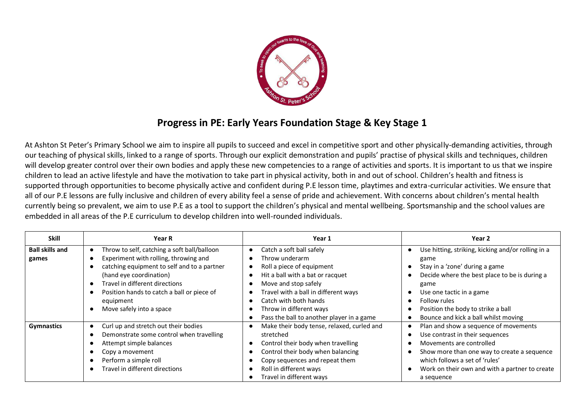

## **Progress in PE: Early Years Foundation Stage & Key Stage 1**

At Ashton St Peter's Primary School we aim to inspire all pupils to succeed and excel in competitive sport and other physically-demanding activities, through our teaching of physical skills, linked to a range of sports. Through our explicit demonstration and pupils' practise of physical skills and techniques, children will develop greater control over their own bodies and apply these new competencies to a range of activities and sports. It is important to us that we inspire children to lead an active lifestyle and have the motivation to take part in physical activity, both in and out of school. Children's health and fitness is supported through opportunities to become physically active and confident during P.E lesson time, playtimes and extra-curricular activities. We ensure that all of our P.E lessons are fully inclusive and children of every ability feel a sense of pride and achievement. With concerns about children's mental health currently being so prevalent, we aim to use P.E as a tool to support the children's physical and mental wellbeing. Sportsmanship and the school values are embedded in all areas of the P.E curriculum to develop children into well-rounded individuals.

| <b>Skill</b>                    | <b>Year R</b>                                                                                                                                                                                                                                                                                        | Year 1                                                                                                                                                                                                                                                                                    | Year 2                                                                                                                                                                                                                                                                          |
|---------------------------------|------------------------------------------------------------------------------------------------------------------------------------------------------------------------------------------------------------------------------------------------------------------------------------------------------|-------------------------------------------------------------------------------------------------------------------------------------------------------------------------------------------------------------------------------------------------------------------------------------------|---------------------------------------------------------------------------------------------------------------------------------------------------------------------------------------------------------------------------------------------------------------------------------|
| <b>Ball skills and</b><br>games | Throw to self, catching a soft ball/balloon<br>$\bullet$<br>Experiment with rolling, throwing and<br>catching equipment to self and to a partner<br>(hand eye coordination)<br>Travel in different directions<br>Position hands to catch a ball or piece of<br>equipment<br>Move safely into a space | Catch a soft ball safely<br>Throw underarm<br>Roll a piece of equipment<br>Hit a ball with a bat or racquet<br>Move and stop safely<br>Travel with a ball in different ways<br>$\bullet$<br>Catch with both hands<br>Throw in different ways<br>Pass the ball to another player in a game | Use hitting, striking, kicking and/or rolling in a<br>game<br>Stay in a 'zone' during a game<br>Decide where the best place to be is during a<br>game<br>Use one tactic in a game<br>Follow rules<br>Position the body to strike a ball<br>Bounce and kick a ball whilst moving |
| <b>Gymnastics</b>               | Curl up and stretch out their bodies<br>$\bullet$<br>Demonstrate some control when travelling<br>Attempt simple balances<br>Copy a movement<br>Perform a simple roll<br>Travel in different directions                                                                                               | Make their body tense, relaxed, curled and<br>stretched<br>Control their body when travelling<br>Control their body when balancing<br>Copy sequences and repeat them<br>Roll in different ways<br>Travel in different ways                                                                | Plan and show a sequence of movements<br>Use contrast in their sequences<br>Movements are controlled<br>Show more than one way to create a sequence<br>which follows a set of 'rules'<br>Work on their own and with a partner to create<br>a sequence                           |